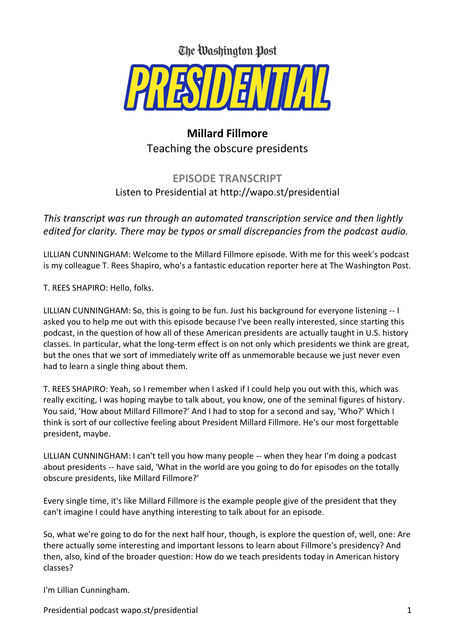

## **Millard Fillmore** Teaching the obscure presidents

## **EPISODE TRANSCRIPT** Listen to Presidential at http://wapo.st/presidential

*This transcript was run through an automated transcription service and then lightly edited for clarity. There may be typos or small discrepancies from the podcast audio.* 

LILLIAN CUNNINGHAM: Welcome to the Millard Fillmore episode. With me for this week's podcast is my colleague T. Rees Shapiro, who's a fantastic education reporter here at The Washington Post.

T. REES SHAPIRO: Hello, folks.

LILLIAN CUNNINGHAM: So, this is going to be fun. Just his background for everyone listening -- I asked you to help me out with this episode because I've been really interested, since starting this podcast, in the question of how all of these American presidents are actually taught in U.S. history classes. In particular, what the long-term effect is on not only which presidents we think are great, but the ones that we sort of immediately write off as unmemorable because we just never even had to learn a single thing about them.

T. REES SHAPIRO: Yeah, so I remember when I asked if I could help you out with this, which was really exciting, I was hoping maybe to talk about, you know, one of the seminal figures of history. You said, 'How about Millard Fillmore?' And I had to stop for a second and say, 'Who?' Which I think is sort of our collective feeling about President Millard Fillmore. He's our most forgettable president, maybe.

LILLIAN CUNNINGHAM: I can't tell you how many people -- when they hear I'm doing a podcast about presidents -- have said, 'What in the world are you going to do for episodes on the totally obscure presidents, like Millard Fillmore?'

Every single time, it's like Millard Fillmore is the example people give of the president that they can't imagine I could have anything interesting to talk about for an episode.

So, what we're going to do for the next half hour, though, is explore the question of, well, one: Are there actually some interesting and important lessons to learn about Fillmore's presidency? And then, also, kind of the broader question: How do we teach presidents today in American history classes?

I'm Lillian Cunningham.

Presidential podcast wapo.st/presidential 1 and 2 and 2 and 2 and 2 and 2 and 2 and 2 and 2 and 2 and 2 and 2 and 2 and 2 and 2 and 2 and 2 and 2 and 2 and 2 and 2 and 2 and 2 and 2 and 2 and 2 and 2 and 2 and 2 and 2 and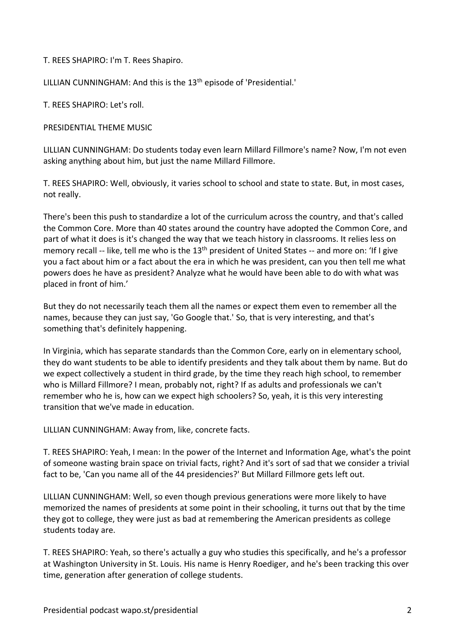T. REES SHAPIRO: I'm T. Rees Shapiro.

LILLIAN CUNNINGHAM: And this is the 13<sup>th</sup> episode of 'Presidential.'

T. REES SHAPIRO: Let's roll.

PRESIDENTIAL THEME MUSIC

LILLIAN CUNNINGHAM: Do students today even learn Millard Fillmore's name? Now, I'm not even asking anything about him, but just the name Millard Fillmore.

T. REES SHAPIRO: Well, obviously, it varies school to school and state to state. But, in most cases, not really.

There's been this push to standardize a lot of the curriculum across the country, and that's called the Common Core. More than 40 states around the country have adopted the Common Core, and part of what it does is it's changed the way that we teach history in classrooms. It relies less on memory recall -- like, tell me who is the 13<sup>th</sup> president of United States -- and more on: 'If I give you a fact about him or a fact about the era in which he was president, can you then tell me what powers does he have as president? Analyze what he would have been able to do with what was placed in front of him.'

But they do not necessarily teach them all the names or expect them even to remember all the names, because they can just say, 'Go Google that.' So, that is very interesting, and that's something that's definitely happening.

In Virginia, which has separate standards than the Common Core, early on in elementary school, they do want students to be able to identify presidents and they talk about them by name. But do we expect collectively a student in third grade, by the time they reach high school, to remember who is Millard Fillmore? I mean, probably not, right? If as adults and professionals we can't remember who he is, how can we expect high schoolers? So, yeah, it is this very interesting transition that we've made in education.

LILLIAN CUNNINGHAM: Away from, like, concrete facts.

T. REES SHAPIRO: Yeah, I mean: In the power of the Internet and Information Age, what's the point of someone wasting brain space on trivial facts, right? And it's sort of sad that we consider a trivial fact to be, 'Can you name all of the 44 presidencies?' But Millard Fillmore gets left out.

LILLIAN CUNNINGHAM: Well, so even though previous generations were more likely to have memorized the names of presidents at some point in their schooling, it turns out that by the time they got to college, they were just as bad at remembering the American presidents as college students today are.

T. REES SHAPIRO: Yeah, so there's actually a guy who studies this specifically, and he's a professor at Washington University in St. Louis. His name is Henry Roediger, and he's been tracking this over time, generation after generation of college students.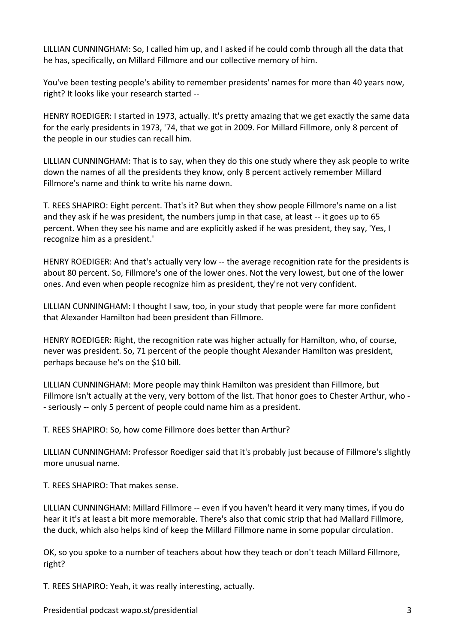LILLIAN CUNNINGHAM: So, I called him up, and I asked if he could comb through all the data that he has, specifically, on Millard Fillmore and our collective memory of him.

You've been testing people's ability to remember presidents' names for more than 40 years now, right? It looks like your research started --

HENRY ROEDIGER: I started in 1973, actually. It's pretty amazing that we get exactly the same data for the early presidents in 1973, '74, that we got in 2009. For Millard Fillmore, only 8 percent of the people in our studies can recall him.

LILLIAN CUNNINGHAM: That is to say, when they do this one study where they ask people to write down the names of all the presidents they know, only 8 percent actively remember Millard Fillmore's name and think to write his name down.

T. REES SHAPIRO: Eight percent. That's it? But when they show people Fillmore's name on a list and they ask if he was president, the numbers jump in that case, at least -- it goes up to 65 percent. When they see his name and are explicitly asked if he was president, they say, 'Yes, I recognize him as a president.'

HENRY ROEDIGER: And that's actually very low -- the average recognition rate for the presidents is about 80 percent. So, Fillmore's one of the lower ones. Not the very lowest, but one of the lower ones. And even when people recognize him as president, they're not very confident.

LILLIAN CUNNINGHAM: I thought I saw, too, in your study that people were far more confident that Alexander Hamilton had been president than Fillmore.

HENRY ROEDIGER: Right, the recognition rate was higher actually for Hamilton, who, of course, never was president. So, 71 percent of the people thought Alexander Hamilton was president, perhaps because he's on the \$10 bill.

LILLIAN CUNNINGHAM: More people may think Hamilton was president than Fillmore, but Fillmore isn't actually at the very, very bottom of the list. That honor goes to Chester Arthur, who - - seriously -- only 5 percent of people could name him as a president.

T. REES SHAPIRO: So, how come Fillmore does better than Arthur?

LILLIAN CUNNINGHAM: Professor Roediger said that it's probably just because of Fillmore's slightly more unusual name.

T. REES SHAPIRO: That makes sense.

LILLIAN CUNNINGHAM: Millard Fillmore -- even if you haven't heard it very many times, if you do hear it it's at least a bit more memorable. There's also that comic strip that had Mallard Fillmore, the duck, which also helps kind of keep the Millard Fillmore name in some popular circulation.

OK, so you spoke to a number of teachers about how they teach or don't teach Millard Fillmore, right?

T. REES SHAPIRO: Yeah, it was really interesting, actually.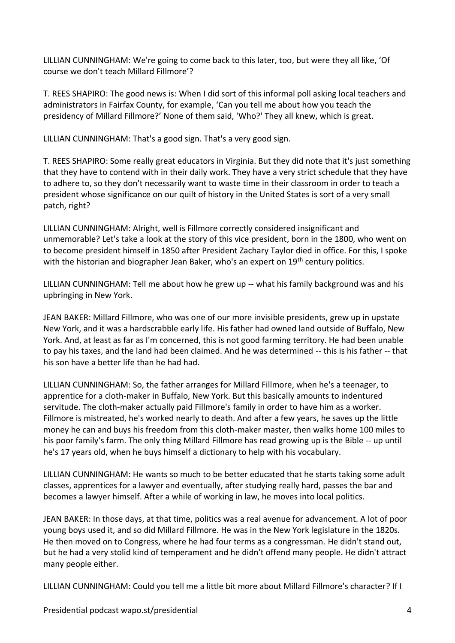LILLIAN CUNNINGHAM: We're going to come back to this later, too, but were they all like, 'Of course we don't teach Millard Fillmore'?

T. REES SHAPIRO: The good news is: When I did sort of this informal poll asking local teachers and administrators in Fairfax County, for example, 'Can you tell me about how you teach the presidency of Millard Fillmore?' None of them said, 'Who?' They all knew, which is great.

LILLIAN CUNNINGHAM: That's a good sign. That's a very good sign.

T. REES SHAPIRO: Some really great educators in Virginia. But they did note that it's just something that they have to contend with in their daily work. They have a very strict schedule that they have to adhere to, so they don't necessarily want to waste time in their classroom in order to teach a president whose significance on our quilt of history in the United States is sort of a very small patch, right?

LILLIAN CUNNINGHAM: Alright, well is Fillmore correctly considered insignificant and unmemorable? Let's take a look at the story of this vice president, born in the 1800, who went on to become president himself in 1850 after President Zachary Taylor died in office. For this, I spoke with the historian and biographer Jean Baker, who's an expert on 19<sup>th</sup> century politics.

LILLIAN CUNNINGHAM: Tell me about how he grew up -- what his family background was and his upbringing in New York.

JEAN BAKER: Millard Fillmore, who was one of our more invisible presidents, grew up in upstate New York, and it was a hardscrabble early life. His father had owned land outside of Buffalo, New York. And, at least as far as I'm concerned, this is not good farming territory. He had been unable to pay his taxes, and the land had been claimed. And he was determined -- this is his father -- that his son have a better life than he had had.

LILLIAN CUNNINGHAM: So, the father arranges for Millard Fillmore, when he's a teenager, to apprentice for a cloth-maker in Buffalo, New York. But this basically amounts to indentured servitude. The cloth-maker actually paid Fillmore's family in order to have him as a worker. Fillmore is mistreated, he's worked nearly to death. And after a few years, he saves up the little money he can and buys his freedom from this cloth-maker master, then walks home 100 miles to his poor family's farm. The only thing Millard Fillmore has read growing up is the Bible -- up until he's 17 years old, when he buys himself a dictionary to help with his vocabulary.

LILLIAN CUNNINGHAM: He wants so much to be better educated that he starts taking some adult classes, apprentices for a lawyer and eventually, after studying really hard, passes the bar and becomes a lawyer himself. After a while of working in law, he moves into local politics.

JEAN BAKER: In those days, at that time, politics was a real avenue for advancement. A lot of poor young boys used it, and so did Millard Fillmore. He was in the New York legislature in the 1820s. He then moved on to Congress, where he had four terms as a congressman. He didn't stand out, but he had a very stolid kind of temperament and he didn't offend many people. He didn't attract many people either.

LILLIAN CUNNINGHAM: Could you tell me a little bit more about Millard Fillmore's character? If I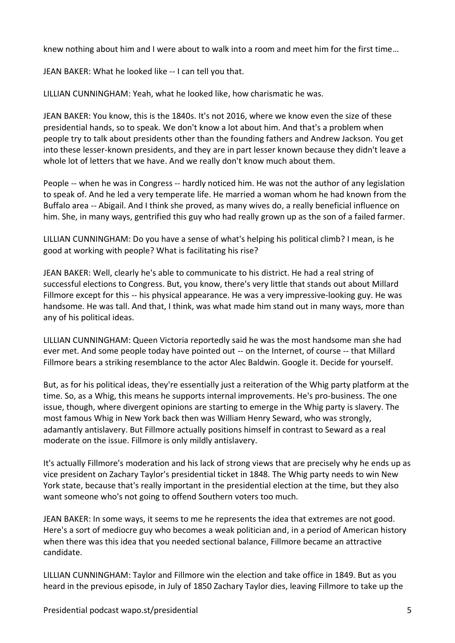knew nothing about him and I were about to walk into a room and meet him for the first time…

JEAN BAKER: What he looked like -- I can tell you that.

LILLIAN CUNNINGHAM: Yeah, what he looked like, how charismatic he was.

JEAN BAKER: You know, this is the 1840s. It's not 2016, where we know even the size of these presidential hands, so to speak. We don't know a lot about him. And that's a problem when people try to talk about presidents other than the founding fathers and Andrew Jackson. You get into these lesser-known presidents, and they are in part lesser known because they didn't leave a whole lot of letters that we have. And we really don't know much about them.

People -- when he was in Congress -- hardly noticed him. He was not the author of any legislation to speak of. And he led a very temperate life. He married a woman whom he had known from the Buffalo area -- Abigail. And I think she proved, as many wives do, a really beneficial influence on him. She, in many ways, gentrified this guy who had really grown up as the son of a failed farmer.

LILLIAN CUNNINGHAM: Do you have a sense of what's helping his political climb? I mean, is he good at working with people? What is facilitating his rise?

JEAN BAKER: Well, clearly he's able to communicate to his district. He had a real string of successful elections to Congress. But, you know, there's very little that stands out about Millard Fillmore except for this -- his physical appearance. He was a very impressive-looking guy. He was handsome. He was tall. And that, I think, was what made him stand out in many ways, more than any of his political ideas.

LILLIAN CUNNINGHAM: Queen Victoria reportedly said he was the most handsome man she had ever met. And some people today have pointed out -- on the Internet, of course -- that Millard Fillmore bears a striking resemblance to the actor Alec Baldwin. Google it. Decide for yourself.

But, as for his political ideas, they're essentially just a reiteration of the Whig party platform at the time. So, as a Whig, this means he supports internal improvements. He's pro-business. The one issue, though, where divergent opinions are starting to emerge in the Whig party is slavery. The most famous Whig in New York back then was William Henry Seward, who was strongly, adamantly antislavery. But Fillmore actually positions himself in contrast to Seward as a real moderate on the issue. Fillmore is only mildly antislavery.

It's actually Fillmore's moderation and his lack of strong views that are precisely why he ends up as vice president on Zachary Taylor's presidential ticket in 1848. The Whig party needs to win New York state, because that's really important in the presidential election at the time, but they also want someone who's not going to offend Southern voters too much.

JEAN BAKER: In some ways, it seems to me he represents the idea that extremes are not good. Here's a sort of mediocre guy who becomes a weak politician and, in a period of American history when there was this idea that you needed sectional balance, Fillmore became an attractive candidate.

LILLIAN CUNNINGHAM: Taylor and Fillmore win the election and take office in 1849. But as you heard in the previous episode, in July of 1850 Zachary Taylor dies, leaving Fillmore to take up the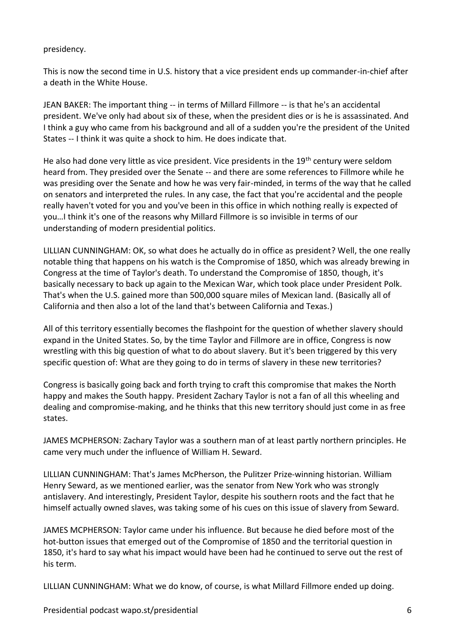## presidency.

This is now the second time in U.S. history that a vice president ends up commander-in-chief after a death in the White House.

JEAN BAKER: The important thing -- in terms of Millard Fillmore -- is that he's an accidental president. We've only had about six of these, when the president dies or is he is assassinated. And I think a guy who came from his background and all of a sudden you're the president of the United States -- I think it was quite a shock to him. He does indicate that.

He also had done very little as vice president. Vice presidents in the 19<sup>th</sup> century were seldom heard from. They presided over the Senate -- and there are some references to Fillmore while he was presiding over the Senate and how he was very fair-minded, in terms of the way that he called on senators and interpreted the rules. In any case, the fact that you're accidental and the people really haven't voted for you and you've been in this office in which nothing really is expected of you…I think it's one of the reasons why Millard Fillmore is so invisible in terms of our understanding of modern presidential politics.

LILLIAN CUNNINGHAM: OK, so what does he actually do in office as president? Well, the one really notable thing that happens on his watch is the Compromise of 1850, which was already brewing in Congress at the time of Taylor's death. To understand the Compromise of 1850, though, it's basically necessary to back up again to the Mexican War, which took place under President Polk. That's when the U.S. gained more than 500,000 square miles of Mexican land. (Basically all of California and then also a lot of the land that's between California and Texas.)

All of this territory essentially becomes the flashpoint for the question of whether slavery should expand in the United States. So, by the time Taylor and Fillmore are in office, Congress is now wrestling with this big question of what to do about slavery. But it's been triggered by this very specific question of: What are they going to do in terms of slavery in these new territories?

Congress is basically going back and forth trying to craft this compromise that makes the North happy and makes the South happy. President Zachary Taylor is not a fan of all this wheeling and dealing and compromise-making, and he thinks that this new territory should just come in as free states.

JAMES MCPHERSON: Zachary Taylor was a southern man of at least partly northern principles. He came very much under the influence of William H. Seward.

LILLIAN CUNNINGHAM: That's James McPherson, the Pulitzer Prize-winning historian. William Henry Seward, as we mentioned earlier, was the senator from New York who was strongly antislavery. And interestingly, President Taylor, despite his southern roots and the fact that he himself actually owned slaves, was taking some of his cues on this issue of slavery from Seward.

JAMES MCPHERSON: Taylor came under his influence. But because he died before most of the hot-button issues that emerged out of the Compromise of 1850 and the territorial question in 1850, it's hard to say what his impact would have been had he continued to serve out the rest of his term.

LILLIAN CUNNINGHAM: What we do know, of course, is what Millard Fillmore ended up doing.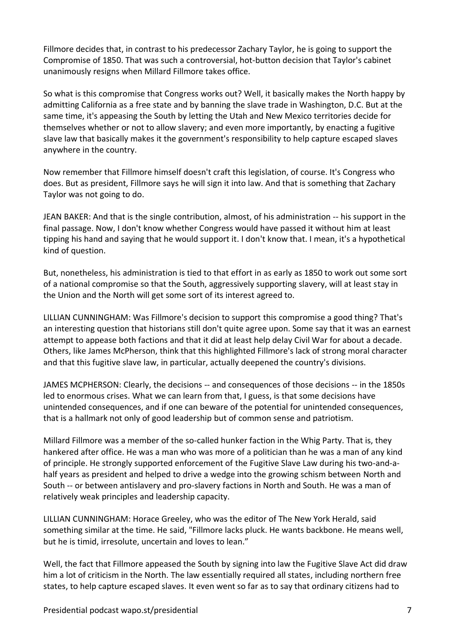Fillmore decides that, in contrast to his predecessor Zachary Taylor, he is going to support the Compromise of 1850. That was such a controversial, hot-button decision that Taylor's cabinet unanimously resigns when Millard Fillmore takes office.

So what is this compromise that Congress works out? Well, it basically makes the North happy by admitting California as a free state and by banning the slave trade in Washington, D.C. But at the same time, it's appeasing the South by letting the Utah and New Mexico territories decide for themselves whether or not to allow slavery; and even more importantly, by enacting a fugitive slave law that basically makes it the government's responsibility to help capture escaped slaves anywhere in the country.

Now remember that Fillmore himself doesn't craft this legislation, of course. It's Congress who does. But as president, Fillmore says he will sign it into law. And that is something that Zachary Taylor was not going to do.

JEAN BAKER: And that is the single contribution, almost, of his administration -- his support in the final passage. Now, I don't know whether Congress would have passed it without him at least tipping his hand and saying that he would support it. I don't know that. I mean, it's a hypothetical kind of question.

But, nonetheless, his administration is tied to that effort in as early as 1850 to work out some sort of a national compromise so that the South, aggressively supporting slavery, will at least stay in the Union and the North will get some sort of its interest agreed to.

LILLIAN CUNNINGHAM: Was Fillmore's decision to support this compromise a good thing? That's an interesting question that historians still don't quite agree upon. Some say that it was an earnest attempt to appease both factions and that it did at least help delay Civil War for about a decade. Others, like James McPherson, think that this highlighted Fillmore's lack of strong moral character and that this fugitive slave law, in particular, actually deepened the country's divisions.

JAMES MCPHERSON: Clearly, the decisions -- and consequences of those decisions -- in the 1850s led to enormous crises. What we can learn from that, I guess, is that some decisions have unintended consequences, and if one can beware of the potential for unintended consequences, that is a hallmark not only of good leadership but of common sense and patriotism.

Millard Fillmore was a member of the so-called hunker faction in the Whig Party. That is, they hankered after office. He was a man who was more of a politician than he was a man of any kind of principle. He strongly supported enforcement of the Fugitive Slave Law during his two-and-ahalf years as president and helped to drive a wedge into the growing schism between North and South -- or between antislavery and pro-slavery factions in North and South. He was a man of relatively weak principles and leadership capacity.

LILLIAN CUNNINGHAM: Horace Greeley, who was the editor of The New York Herald, said something similar at the time. He said, "Fillmore lacks pluck. He wants backbone. He means well, but he is timid, irresolute, uncertain and loves to lean."

Well, the fact that Fillmore appeased the South by signing into law the Fugitive Slave Act did draw him a lot of criticism in the North. The law essentially required all states, including northern free states, to help capture escaped slaves. It even went so far as to say that ordinary citizens had to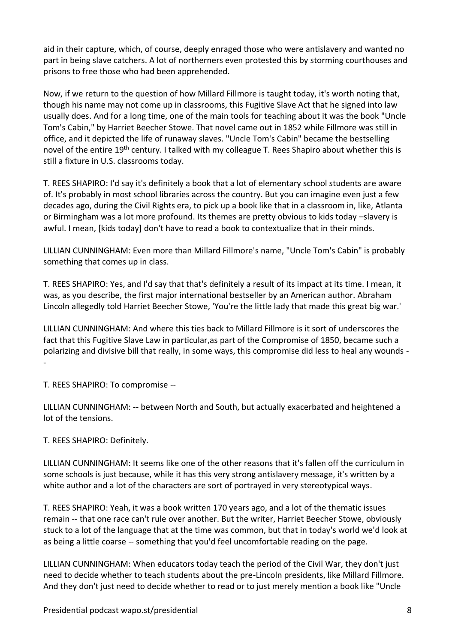aid in their capture, which, of course, deeply enraged those who were antislavery and wanted no part in being slave catchers. A lot of northerners even protested this by storming courthouses and prisons to free those who had been apprehended.

Now, if we return to the question of how Millard Fillmore is taught today, it's worth noting that, though his name may not come up in classrooms, this Fugitive Slave Act that he signed into law usually does. And for a long time, one of the main tools for teaching about it was the book "Uncle Tom's Cabin," by Harriet Beecher Stowe. That novel came out in 1852 while Fillmore was still in office, and it depicted the life of runaway slaves. "Uncle Tom's Cabin" became the bestselling novel of the entire 19<sup>th</sup> century. I talked with my colleague T. Rees Shapiro about whether this is still a fixture in U.S. classrooms today.

T. REES SHAPIRO: I'd say it's definitely a book that a lot of elementary school students are aware of. It's probably in most school libraries across the country. But you can imagine even just a few decades ago, during the Civil Rights era, to pick up a book like that in a classroom in, like, Atlanta or Birmingham was a lot more profound. Its themes are pretty obvious to kids today –slavery is awful. I mean, [kids today] don't have to read a book to contextualize that in their minds.

LILLIAN CUNNINGHAM: Even more than Millard Fillmore's name, "Uncle Tom's Cabin" is probably something that comes up in class.

T. REES SHAPIRO: Yes, and I'd say that that's definitely a result of its impact at its time. I mean, it was, as you describe, the first major international bestseller by an American author. Abraham Lincoln allegedly told Harriet Beecher Stowe, 'You're the little lady that made this great big war.'

LILLIAN CUNNINGHAM: And where this ties back to Millard Fillmore is it sort of underscores the fact that this Fugitive Slave Law in particular,as part of the Compromise of 1850, became such a polarizing and divisive bill that really, in some ways, this compromise did less to heal any wounds - -

T. REES SHAPIRO: To compromise --

LILLIAN CUNNINGHAM: -- between North and South, but actually exacerbated and heightened a lot of the tensions.

T. REES SHAPIRO: Definitely.

LILLIAN CUNNINGHAM: It seems like one of the other reasons that it's fallen off the curriculum in some schools is just because, while it has this very strong antislavery message, it's written by a white author and a lot of the characters are sort of portrayed in very stereotypical ways.

T. REES SHAPIRO: Yeah, it was a book written 170 years ago, and a lot of the thematic issues remain -- that one race can't rule over another. But the writer, Harriet Beecher Stowe, obviously stuck to a lot of the language that at the time was common, but that in today's world we'd look at as being a little coarse -- something that you'd feel uncomfortable reading on the page.

LILLIAN CUNNINGHAM: When educators today teach the period of the Civil War, they don't just need to decide whether to teach students about the pre-Lincoln presidents, like Millard Fillmore. And they don't just need to decide whether to read or to just merely mention a book like "Uncle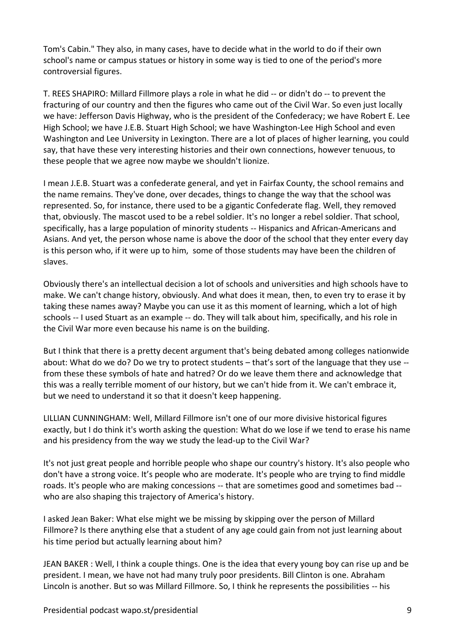Tom's Cabin." They also, in many cases, have to decide what in the world to do if their own school's name or campus statues or history in some way is tied to one of the period's more controversial figures.

T. REES SHAPIRO: Millard Fillmore plays a role in what he did -- or didn't do -- to prevent the fracturing of our country and then the figures who came out of the Civil War. So even just locally we have: Jefferson Davis Highway, who is the president of the Confederacy; we have Robert E. Lee High School; we have J.E.B. Stuart High School; we have Washington-Lee High School and even Washington and Lee University in Lexington. There are a lot of places of higher learning, you could say, that have these very interesting histories and their own connections, however tenuous, to these people that we agree now maybe we shouldn't lionize.

I mean J.E.B. Stuart was a confederate general, and yet in Fairfax County, the school remains and the name remains. They've done, over decades, things to change the way that the school was represented. So, for instance, there used to be a gigantic Confederate flag. Well, they removed that, obviously. The mascot used to be a rebel soldier. It's no longer a rebel soldier. That school, specifically, has a large population of minority students -- Hispanics and African-Americans and Asians. And yet, the person whose name is above the door of the school that they enter every day is this person who, if it were up to him, some of those students may have been the children of slaves.

Obviously there's an intellectual decision a lot of schools and universities and high schools have to make. We can't change history, obviously. And what does it mean, then, to even try to erase it by taking these names away? Maybe you can use it as this moment of learning, which a lot of high schools -- I used Stuart as an example -- do. They will talk about him, specifically, and his role in the Civil War more even because his name is on the building.

But I think that there is a pretty decent argument that's being debated among colleges nationwide about: What do we do? Do we try to protect students – that's sort of the language that they use - from these these symbols of hate and hatred? Or do we leave them there and acknowledge that this was a really terrible moment of our history, but we can't hide from it. We can't embrace it, but we need to understand it so that it doesn't keep happening.

LILLIAN CUNNINGHAM: Well, Millard Fillmore isn't one of our more divisive historical figures exactly, but I do think it's worth asking the question: What do we lose if we tend to erase his name and his presidency from the way we study the lead-up to the Civil War?

It's not just great people and horrible people who shape our country's history. It's also people who don't have a strong voice. It's people who are moderate. It's people who are trying to find middle roads. It's people who are making concessions -- that are sometimes good and sometimes bad - who are also shaping this trajectory of America's history.

I asked Jean Baker: What else might we be missing by skipping over the person of Millard Fillmore? Is there anything else that a student of any age could gain from not just learning about his time period but actually learning about him?

JEAN BAKER : Well, I think a couple things. One is the idea that every young boy can rise up and be president. I mean, we have not had many truly poor presidents. Bill Clinton is one. Abraham Lincoln is another. But so was Millard Fillmore. So, I think he represents the possibilities -- his